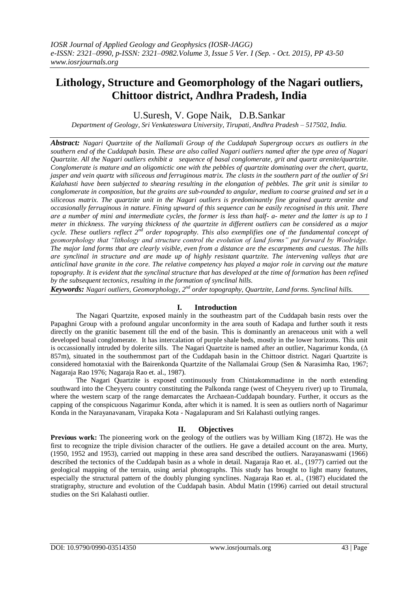# **Lithology, Structure and Geomorphology of the Nagari outliers, Chittoor district, Andhra Pradesh, India**

U.Suresh, V. Gope Naik, D.B.Sankar

*Department of Geology, Sri Venkateswara University, Tirupati, Andhra Pradesh – 517502, India.*

*Abstract: Nagari Quartzite of the Nallamali Group of the Cuddapah Supergroup occurs as outliers in the southern end of the Cuddapah basin. These are also called Nagari outliers named after the type area of Nagari Quartzite. All the Nagari outliers exhibit a sequence of basal conglomerate, grit and quartz arenite/quartzite. Conglomerate is mature and an oligomictic one with the pebbles of quartzite dominating over the chert, quartz, jasper and vein quartz with siliceous and ferruginous matrix. The clasts in the southern part of the outlier of Sri Kalahasti have been subjected to shearing resulting in the elongation of pebbles. The grit unit is similar to conglomerate in composition, but the grains are sub-rounded to angular, medium to coarse grained and set in a siliceous matrix. The quartzite unit in the Nagari outliers is predominantly fine grained quartz arenite and occasionally ferruginous in nature. Fining upward of this sequence can be easily recognised in this unit. There are a number of mini and intermediate cycles, the former is less than half- a- meter and the latter is up to 1 meter in thickness. The varying thickness of the quartzite in different outliers can be considered as a major cycle. These outliers reflect 2nd order topography. This also exemplifies one of the fundamental concept of geomorphology that "lithology and structure control the evolution of land forms" put forward by Woolridge. The major land forms that are clearly visible, even from a distance are the escarpments and cuestas. The hills are synclinal in structure and are made up of highly resistant quartzite. The intervening valleys that are anticlinal have granite in the core. The relative competency has played a major role in carving out the mature topography. It is evident that the synclinal structure that has developed at the time of formation has been refined by the subsequent tectonics, resulting in the formation of synclinal hills.* 

Keywords: Nagari outliers, Geomorphology, 2<sup>nd</sup> order topography, Quartzite, Land forms. Synclinal hills.

# **I. Introduction**

The Nagari Quartzite, exposed mainly in the southeastrn part of the Cuddapah basin rests over the Papaghni Group with a profound angular unconformity in the area south of Kadapa and further south it rests directly on the granitic basement till the end of the basin. This is dominantly an arenaceous unit with a well developed basal conglomerate. It has intercalation of purple shale beds, mostly in the lower horizons. This unit is occassionally intruded by dolerite sills. The Nagari Quartzite is named after an outlier, Nagarimur konda, (Δ 857m), situated in the southernmost part of the Cuddapah basin in the Chittoor district. Nagari Quartzite is considered homotaxial with the Bairenkonda Quartzite of the Nallamalai Group (Sen & Narasimha Rao, 1967; Nagaraja Rao 1976; Nagaraja Rao et. al., 1987).

The Nagari Quartzite is exposed continuously from Chintakommadinne in the north extending southward into the Cheyyeru country constituting the Palkonda range (west of Cheyyeru river) up to Tirumala, where the western scarp of the range demarcates the Archaean-Cuddapah boundary. Further, it occurs as the capping of the conspicuous Nagarimur Konda, after which it is named. It is seen as outliers north of Nagarimur Konda in the Narayanavanam, Virapaka Kota - Nagalapuram and Sri Kalahasti outlying ranges.

# **II. Objectives**

**Previous work:** The pioneering work on the geology of the outliers was by William King (1872). He was the first to recognize the triple division character of the outliers. He gave a detailed account on the area. Murty, (1950, 1952 and 1953), carried out mapping in these area sand described the outliers. Narayanaswami (1966) described the tectonics of the Cuddapah basin as a whole in detail. Nagaraja Rao et. al., (1977) carried out the geological mapping of the terrain, using aerial photographs. This study has brought to light many features, especially the structural pattern of the doubly plunging synclines. Nagaraja Rao et. al., (1987) elucidated the stratigraphy, structure and evolution of the Cuddapah basin. Abdul Matin (1996) carried out detail structural studies on the Sri Kalahasti outlier.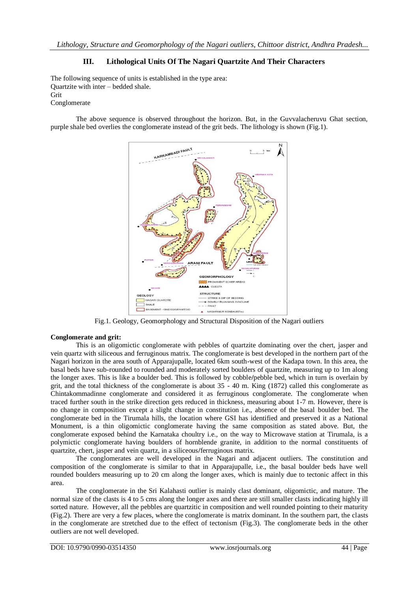# **III. Lithological Units Of The Nagari Quartzite And Their Characters**

The following sequence of units is established in the type area: Quartzite with inter – bedded shale. Grit Conglomerate

The above sequence is observed throughout the horizon. But, in the Guvvalacheruvu Ghat section, purple shale bed overlies the conglomerate instead of the grit beds. The lithology is shown (Fig.1).



Fig.1. Geology, Geomorphology and Structural Disposition of the Nagari outliers

### **Conglomerate and grit:**

This is an oligomictic conglomerate with pebbles of quartzite dominating over the chert, jasper and vein quartz with siliceous and ferruginous matrix. The conglomerate is best developed in the northern part of the Nagari horizon in the area south of Apparajupalle, located 6km south-west of the Kadapa town. In this area, the basal beds have sub-rounded to rounded and moderately sorted boulders of quartzite, measuring up to 1m along the longer axes. This is like a boulder bed. This is followed by cobble**/**pebble bed, which in turn is overlain by grit, and the total thickness of the conglomerate is about 35 - 40 m. King (1872) called this conglomerate as Chintakommadinne conglomerate and considered it as ferruginous conglomerate. The conglomerate when traced further south in the strike direction gets reduced in thickness, measuring about 1-7 m. However, there is no change in composition except a slight change in constitution i.e., absence of the basal boulder bed. The conglomerate bed in the Tirumala hills, the location where GSI has identified and preserved it as a National Monument, is a thin oligomictic conglomerate having the same composition as stated above. But, the conglomerate exposed behind the Karnataka choultry i.e., on the way to Microwave station at Tirumala, is a polymictic conglomerate having boulders of hornblende granite, in addition to the normal constituents of quartzite, chert, jasper and vein quartz, in a siliceous**/**ferruginous matrix.

The conglomerates are well developed in the Nagari and adjacent outliers. The constitution and composition of the conglomerate is similar to that in Apparajupalle, i.e., the basal boulder beds have well rounded boulders measuring up to 20 cm along the longer axes, which is mainly due to tectonic affect in this area.

The conglomerate in the Sri Kalahasti outlier is mainly clast dominant, oligomictic, and mature. The normal size of the clasts is 4 to 5 cms along the longer axes and there are still smaller clasts indicating highly ill sorted nature. However, all the pebbles are quartzitic in composition and well rounded pointing to their maturity (Fig.2). There are very a few places, where the conglomerate is matrix dominant. In the southern part, the clasts in the conglomerate are stretched due to the effect of tectonism (Fig.3). The conglomerate beds in the other outliers are not well developed.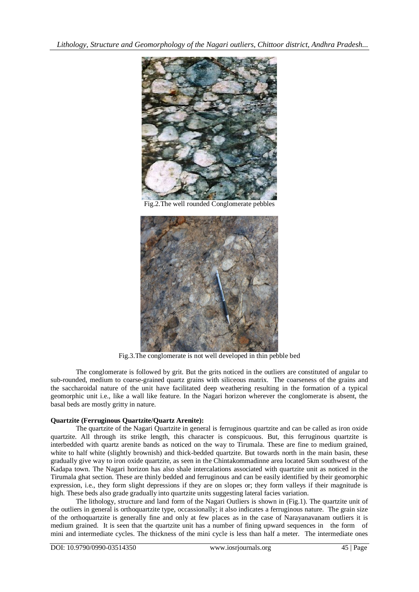*Lithology, Structure and Geomorphology of the Nagari outliers, Chittoor district, Andhra Pradesh...*



Fig.2.The well rounded Conglomerate pebbles



Fig.3.The conglomerate is not well developed in thin pebble bed

The conglomerate is followed by grit. But the grits noticed in the outliers are constituted of angular to sub-rounded, medium to coarse-grained quartz grains with siliceous matrix. The coarseness of the grains and the saccharoidal nature of the unit have facilitated deep weathering resulting in the formation of a typical geomorphic unit i.e., like a wall like feature. In the Nagari horizon wherever the conglomerate is absent, the basal beds are mostly gritty in nature.

# **Quartzite (Ferruginous Quartzite/Quartz Arenite):**

The quartzite of the Nagari Quartzite in general is ferruginous quartzite and can be called as iron oxide quartzite. All through its strike length, this character is conspicuous. But, this ferruginous quartzite is interbedded with quartz arenite bands as noticed on the way to Tirumala. These are fine to medium grained, white to half white (slightly brownish) and thick-bedded quartzite. But towards north in the main basin, these gradually give way to iron oxide quartzite, as seen in the Chintakommadinne area located 5km southwest of the Kadapa town. The Nagari horizon has also shale intercalations associated with quartzite unit as noticed in the Tirumala ghat section. These are thinly bedded and ferruginous and can be easily identified by their geomorphic expression, i.e., they form slight depressions if they are on slopes or; they form valleys if their magnitude is high. These beds also grade gradually into quartzite units suggesting lateral facies variation.

The lithology, structure and land form of the Nagari Outliers is shown in (Fig.1). The quartzite unit of the outliers in general is orthoquartzite type, occassionally; it also indicates a ferruginous nature. The grain size of the orthoquartzite is generally fine and only at few places as in the case of Narayanavanam outliers it is medium grained. It is seen that the quartzite unit has a number of fining upward sequences in the form of mini and intermediate cycles. The thickness of the mini cycle is less than half a meter. The intermediate ones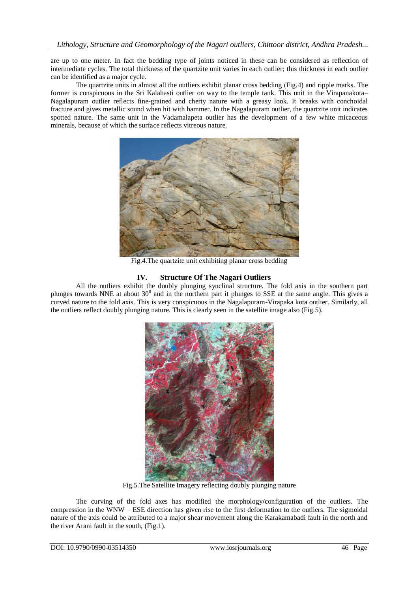are up to one meter. In fact the bedding type of joints noticed in these can be considered as reflection of intermediate cycles. The total thickness of the quartzite unit varies in each outlier; this thickness in each outlier can be identified as a major cycle.

The quartzite units in almost all the outliers exhibit planar cross bedding (Fig.4) and ripple marks. The former is conspicuous in the Sri Kalahasti outlier on way to the temple tank. This unit in the Virapanakota– Nagalapuram outlier reflects fine-grained and cherty nature with a greasy look. It breaks with conchoidal fracture and gives metallic sound when hit with hammer. In the Nagalapuram outlier, the quartzite unit indicates spotted nature. The same unit in the Vadamalapeta outlier has the development of a few white micaceous minerals, because of which the surface reflects vitreous nature.



Fig.4.The quartzite unit exhibiting planar cross bedding

# **IV. Structure Of The Nagari Outliers**

All the outliers exhibit the doubly plunging synclinal structure. The fold axis in the southern part plunges towards NNE at about  $30^0$  and in the northern part it plunges to SSE at the same angle. This gives a curved nature to the fold axis. This is very conspicuous in the Nagalapuram-Virapaka kota outlier. Similarly, all the outliers reflect doubly plunging nature. This is clearly seen in the satellite image also (Fig.5).



Fig.5.The Satellite Imagery reflecting doubly plunging nature

The curving of the fold axes has modified the morphology**/**configuration of the outliers. The compression in the WNW – ESE direction has given rise to the first deformation to the outliers. The sigmoidal nature of the axis could be attributed to a major shear movement along the Karakamabadi fault in the north and the river Arani fault in the south, (Fig.1).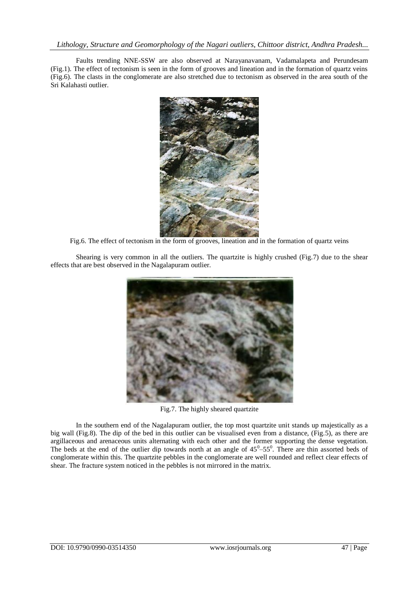Faults trending NNE-SSW are also observed at Narayanavanam, Vadamalapeta and Perundesam (Fig.1). The effect of tectonism is seen in the form of grooves and lineation and in the formation of quartz veins (Fig.6). The clasts in the conglomerate are also stretched due to tectonism as observed in the area south of the Sri Kalahasti outlier.



Fig.6. The effect of tectonism in the form of grooves, lineation and in the formation of quartz veins

Shearing is very common in all the outliers. The quartzite is highly crushed (Fig.7) due to the shear effects that are best observed in the Nagalapuram outlier.



Fig.7. The highly sheared quartzite

In the southern end of the Nagalapuram outlier, the top most quartzite unit stands up majestically as a big wall (Fig.8). The dip of the bed in this outlier can be visualised even from a distance, (Fig.5), as there are argillaceous and arenaceous units alternating with each other and the former supporting the dense vegetation. The beds at the end of the outlier dip towards north at an angle of  $45^{\circ}$ – $55^{\circ}$ . There are thin assorted beds of conglomerate within this. The quartzite pebbles in the conglomerate are well rounded and reflect clear effects of shear. The fracture system noticed in the pebbles is not mirrored in the matrix.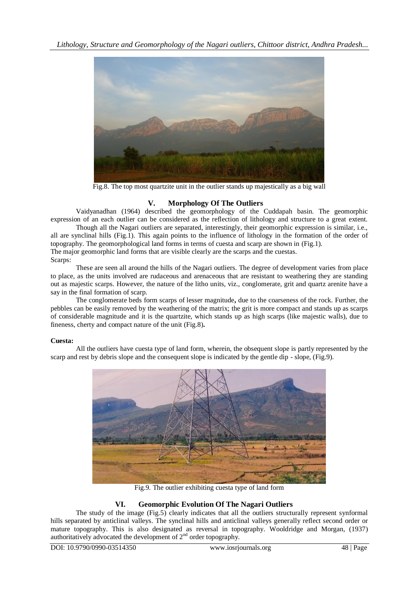

Fig.8. The top most quartzite unit in the outlier stands up majestically as a big wall

# **V. Morphology Of The Outliers**

Vaidyanadhan (1964) described the geomorphology of the Cuddapah basin. The geomorphic expression of an each outlier can be considered as the reflection of lithology and structure to a great extent.

Though all the Nagari outliers are separated, interestingly, their geomorphic expression is similar, i.e., all are synclinal hills (Fig.1). This again points to the influence of lithology in the formation of the order of topography. The geomorphological land forms in terms of cuesta and scarp are shown in (Fig.1). The major geomorphic land forms that are visible clearly are the scarps and the cuestas. Scarps:

These are seen all around the hills of the Nagari outliers. The degree of development varies from place to place, as the units involved are rudaceous and arenaceous that are resistant to weathering they are standing out as majestic scarps. However, the nature of the litho units, viz., conglomerate, grit and quartz arenite have a say in the final formation of scarp.

The conglomerate beds form scarps of lesser magnitude**,** due to the coarseness of the rock. Further, the pebbles can be easily removed by the weathering of the matrix; the grit is more compact and stands up as scarps of considerable magnitude and it is the quartzite, which stands up as high scarps (like majestic walls), due to fineness, cherty and compact nature of the unit (Fig.8)**.**

# **Cuesta:**

All the outliers have cuesta type of land form, wherein, the obsequent slope is partly represented by the scarp and rest by debris slope and the consequent slope is indicated by the gentle dip - slope, (Fig.9).



Fig.9. The outlier exhibiting cuesta type of land form

# **VI. Geomorphic Evolution Of The Nagari Outliers**

The study of the image (Fig.5) clearly indicates that all the outliers structurally represent synformal hills separated by anticlinal valleys. The synclinal hills and anticlinal valleys generally reflect second order or mature topography. This is also designated as reversal in topography. Wooldridge and Morgan, (1937) authoritatively advocated the development of  $2<sup>nd</sup>$  order topography.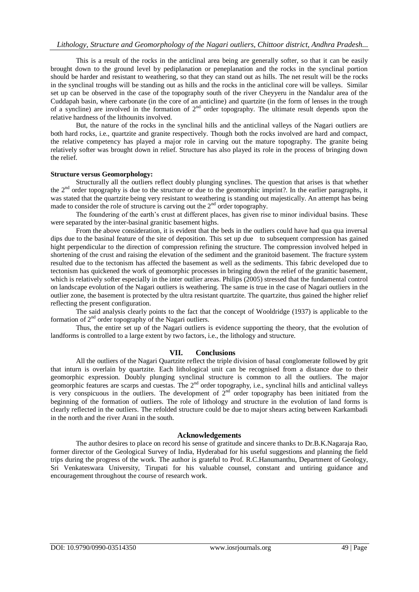This is a result of the rocks in the anticlinal area being are generally softer, so that it can be easily brought down to the ground level by pediplanation or peneplanation and the rocks in the synclinal portion should be harder and resistant to weathering, so that they can stand out as hills. The net result will be the rocks in the synclinal troughs will be standing out as hills and the rocks in the anticlinal core will be valleys. Similar set up can be observed in the case of the topography south of the river Cheyyeru in the Nandalur area of the Cuddapah basin, where carbonate (in the core of an anticline) and quartzite (in the form of lenses in the trough of a syncline) are involved in the formation of  $2<sup>nd</sup>$  order topography. The ultimate result depends upon the relative hardness of the lithounits involved.

But, the nature of the rocks in the synclinal hills and the anticlinal valleys of the Nagari outliers are both hard rocks, i.e., quartzite and granite respectively. Though both the rocks involved are hard and compact, the relative competency has played a major role in carving out the mature topography. The granite being relatively softer was brought down in relief. Structure has also played its role in the process of bringing down the relief.

#### **Structure versus Geomorphology:**

Structurally all the outliers reflect doubly plunging synclines. The question that arises is that whether the 2nd order topography is due to the structure or due to the geomorphic imprint?. In the earlier paragraphs, it was stated that the quartzite being very resistant to weathering is standing out majestically. An attempt has being made to consider the role of structure is carving out the  $2<sup>nd</sup>$  order topography.

The foundering of the earth's crust at different places, has given rise to minor individual basins. These were separated by the inter-basinal granitic basement highs.

From the above consideration, it is evident that the beds in the outliers could have had qua qua inversal dips due to the basinal feature of the site of deposition. This set up due to subsequent compression has gained hight perpendicular to the direction of compression refining the structure. The compression involved helped in shortening of the crust and raising the elevation of the sediment and the granitoid basement. The fracture system resulted due to the tectonism has affected the basement as well as the sediments. This fabric developed due to tectonism has quickened the work of geomorphic processes in bringing down the relief of the granitic basement, which is relatively softer especially in the inter outlier areas. Philips (2005) stressed that the fundamental control on landscape evolution of the Nagari outliers is weathering. The same is true in the case of Nagari outliers in the outlier zone, the basement is protected by the ultra resistant quartzite. The quartzite, thus gained the higher relief reflecting the present configuration.

The said analysis clearly points to the fact that the concept of Wooldridge (1937) is applicable to the formation of  $2<sup>nd</sup>$  order topography of the Nagari outliers.

Thus, the entire set up of the Nagari outliers is evidence supporting the theory, that the evolution of landforms is controlled to a large extent by two factors, i.e., the lithology and structure.

### **VII. Conclusions**

All the outliers of the Nagari Quartzite reflect the triple division of basal conglomerate followed by grit that inturn is overlain by quartzite. Each lithological unit can be recognised from a distance due to their geomorphic expression. Doubly plunging synclinal structure is common to all the outliers. The major geomorphic features are scarps and cuestas. The  $2<sup>nd</sup>$  order topography, i.e., synclinal hills and anticlinal valleys is very conspicuous in the outliers. The development of  $2<sup>nd</sup>$  order topography has been initiated from the beginning of the formation of outliers. The role of lithology and structure in the evolution of land forms is clearly reflected in the outliers. The refolded structure could be due to major shears acting between Karkambadi in the north and the river Arani in the south.

### **Acknowledgements**

The author desires to place on record his sense of gratitude and sincere thanks to Dr.B.K.Nagaraja Rao, former director of the Geological Survey of India, Hyderabad for his useful suggestions and planning the field trips during the progress of the work. The author is grateful to Prof. R.C.Hanumanthu, Department of Geology, Sri Venkateswara University, Tirupati for his valuable counsel, constant and untiring guidance and encouragement throughout the course of research work.